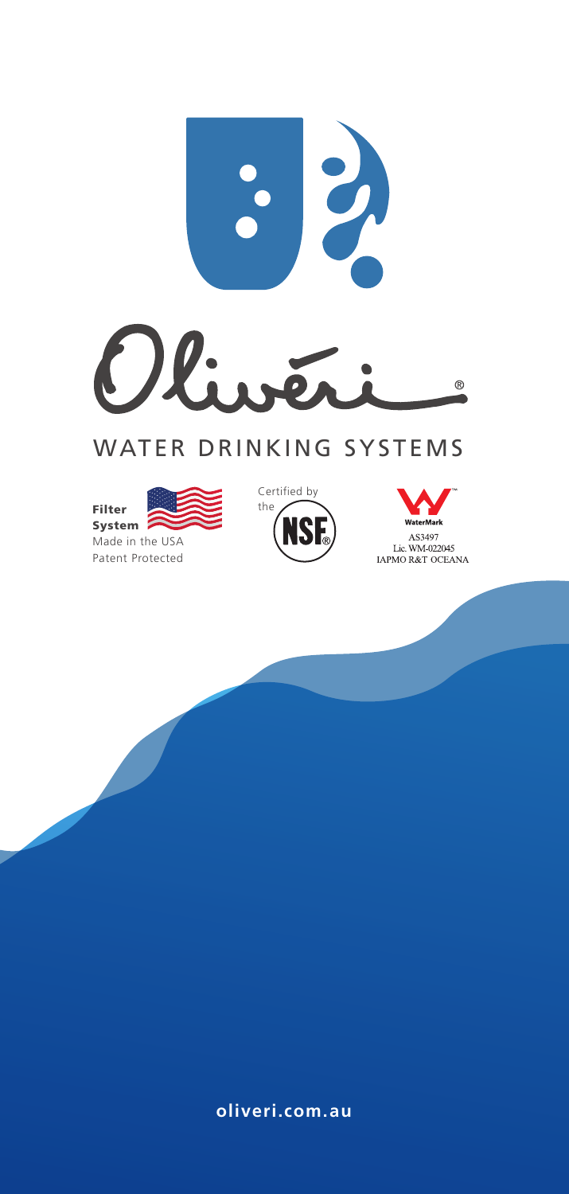

# WATER DRINKING SYSTEMS







**oliveri.com.au**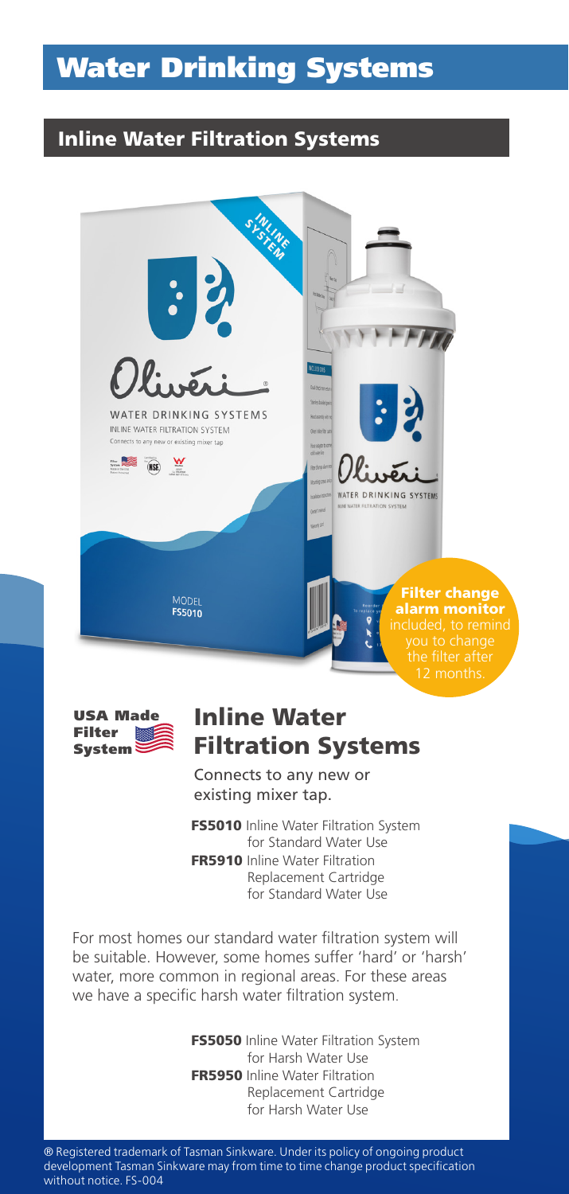# Water Drinking Systems

### Inline Water Filtration Systems





### Inline Water Filtration Systems

Connects to any new or existing mixer tap.

**FS5010** Inline Water Filtration System for Standard Water Use FR5910 Inline Water Filtration Replacement Cartridge for Standard Water Use

For most homes our standard water filtration system will be suitable. However, some homes suffer 'hard' or 'harsh' water, more common in regional areas. For these areas we have a specific harsh water filtration system.

> **FS5050** Inline Water Filtration System for Harsh Water Use FR5950 Inline Water Filtration Replacement Cartridge for Harsh Water Use

® Registered trademark of Tasman Sinkware. Under its policy of ongoing product development Tasman Sinkware may from time to time change product specification without notice. FS-004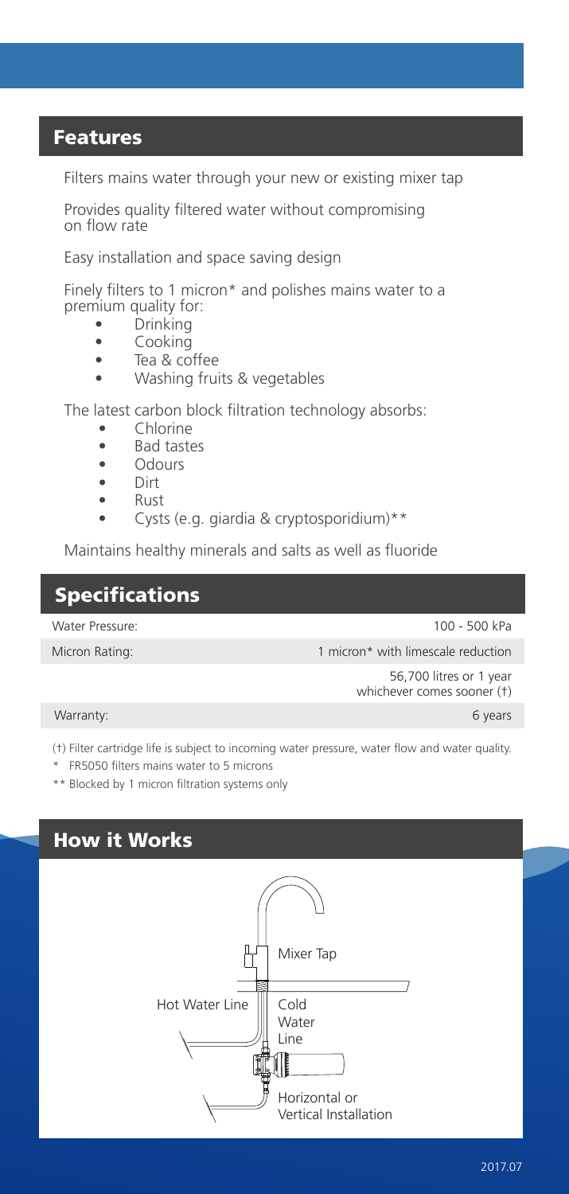#### Features

Filters mains water through your new or existing mixer tap

Provides quality filtered water without compromising on flow rate

Easy installation and space saving design

Finely filters to 1 micron\* and polishes mains water to a premium quality for:<br>**Prinking** 

- Drinking<br>• Cooking
- Cooking
- Tea & coffee
- Washing fruits & vegetables

The latest carbon block filtration technology absorbs:

- Chlorine
- Bad tastes
- Odours
- Dirt
- Rust
- Cysts (e.g. giardia & cryptosporidium)\*\*

Maintains healthy minerals and salts as well as fluoride

#### **Specifications**

Water Pressure:

100 - 500 kPa

Micron Rating:

1 micron\* with limescale reduction

 56,700 litres or 1 year whichever comes sooner (†)

Warranty:

6 years

(†) Filter cartridge life is subject to incoming water pressure, water flow and water quality.

\* FR5050 filters mains water to 5 microns

\*\* Blocked by 1 micron filtration systems only

### How it Works

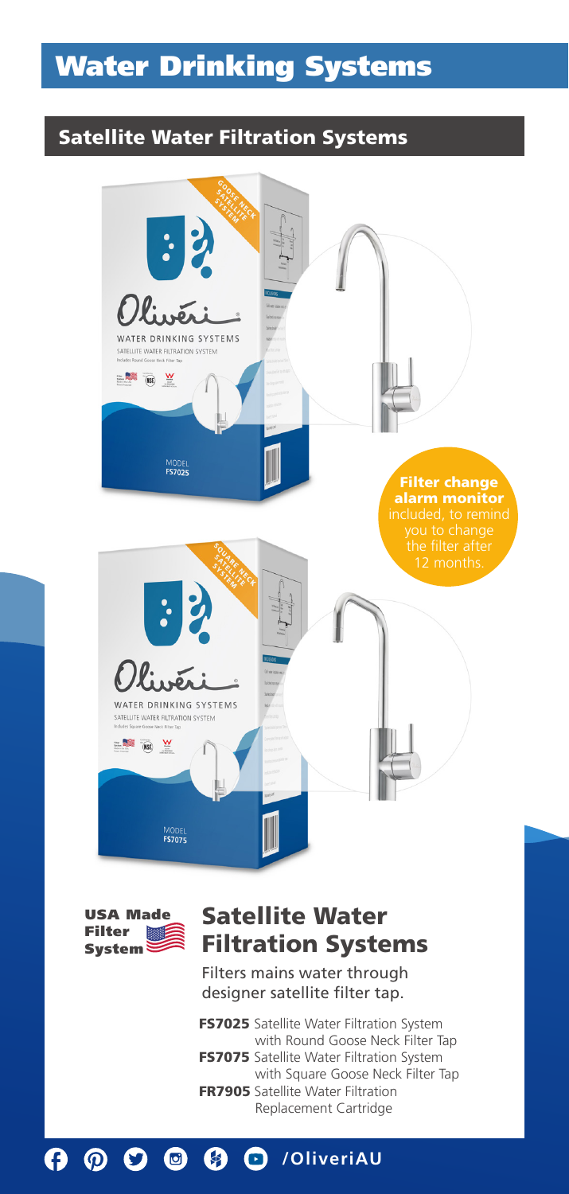# Water Drinking Systems

#### Satellite Water Filtration Systems





## Satellite Water Filtration Systems

Filters mains water through designer satellite filter tap.

FS7025 Satellite Water Filtration System with Round Goose Neck Filter Tap **FS7075** Satellite Water Filtration System with Square Goose Neck Filter Tap FR7905 Satellite Water Filtration Replacement Cartridge

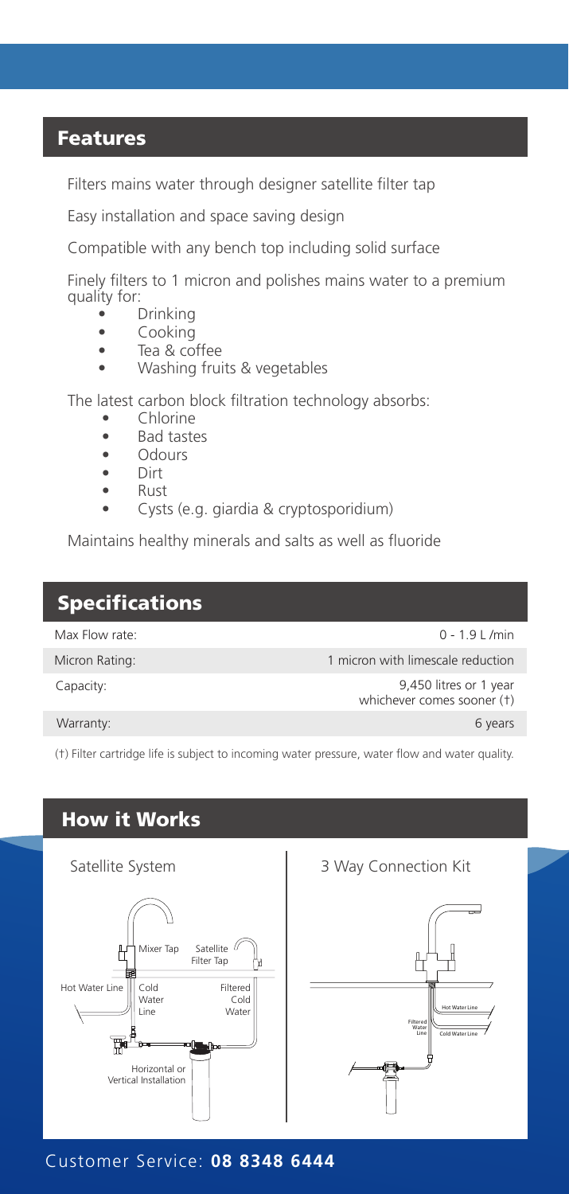#### Features

Filters mains water through designer satellite filter tap

Easy installation and space saving design

Compatible with any bench top including solid surface

Finely filters to 1 micron and polishes mains water to a premium quality for:

- Drinking
- Cooking
- Tea & coffee
- Washing fruits & vegetables

The latest carbon block filtration technology absorbs:

- Chlorine
- Bad tastes<br>• Odours
- Odours
- Dirt
- Rust
- Cysts (e.g. giardia & cryptosporidium)

Maintains healthy minerals and salts as well as fluoride

#### Specifications Capacity: 9,450 litres or 1 year whichever comes sooner (†) 0 - 1.9 L /min 1 micron with limescale reduction 6 years Micron Rating: Max Flow rate: Warranty:

(†) Filter cartridge life is subject to incoming water pressure, water flow and water quality.

## How it Works



╫ Hot Water Line Filtered Water Line Cold Water Line

Customer Service: **08 8348 6444**